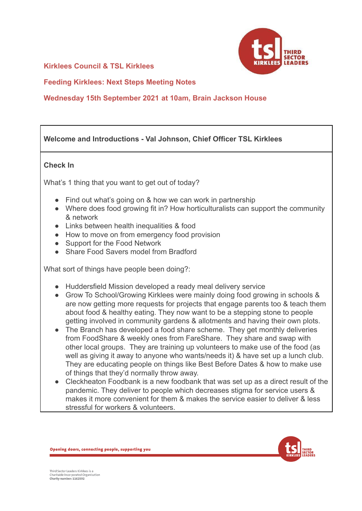#### **Kirklees Council & TSL Kirklees**



**Feeding Kirklees: Next Steps Meeting Notes**

### **Wednesday 15th September 2021 at 10am, Brain Jackson House**

# **Welcome and Introductions - Val Johnson, Chief Officer TSL Kirklees**

#### **Check In**

What's 1 thing that you want to get out of today?

- Find out what's going on & how we can work in partnership
- Where does food growing fit in? How horticulturalists can support the community & network
- Links between health inequalities & food
- How to move on from emergency food provision
- Support for the Food Network
- Share Food Savers model from Bradford

What sort of things have people been doing?:

- Huddersfield Mission developed a ready meal delivery service
- Grow To School/Growing Kirklees were mainly doing food growing in schools & are now getting more requests for projects that engage parents too & teach them about food & healthy eating. They now want to be a stepping stone to people getting involved in community gardens & allotments and having their own plots.
- The Branch has developed a food share scheme. They get monthly deliveries from FoodShare & weekly ones from FareShare. They share and swap with other local groups. They are training up volunteers to make use of the food (as well as giving it away to anyone who wants/needs it) & have set up a lunch club. They are educating people on things like Best Before Dates & how to make use of things that they'd normally throw away.
- Cleckheaton Foodbank is a new foodbank that was set up as a direct result of the pandemic. They deliver to people which decreases stigma for service users & makes it more convenient for them & makes the service easier to deliver & less stressful for workers & volunteers.



Opening doors, connecting people, supporting you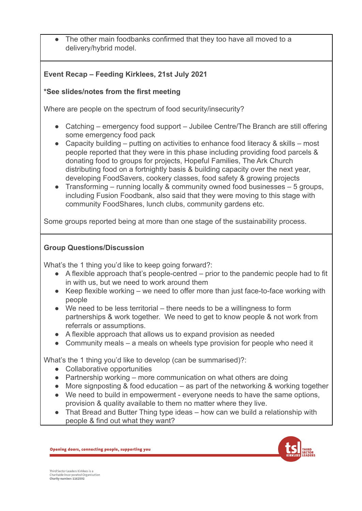The other main foodbanks confirmed that they too have all moved to a delivery/hybrid model.

# **Event Recap – Feeding Kirklees, 21st July 2021**

# **\*See slides/notes from the first meeting**

Where are people on the spectrum of food security/insecurity?

- Catching emergency food support Jubilee Centre/The Branch are still offering some emergency food pack
- Capacity building putting on activities to enhance food literacy & skills most people reported that they were in this phase including providing food parcels & donating food to groups for projects, Hopeful Families, The Ark Church distributing food on a fortnightly basis & building capacity over the next year, developing FoodSavers, cookery classes, food safety & growing projects
- Transforming running locally & community owned food businesses  $-5$  groups, including Fusion Foodbank, also said that they were moving to this stage with community FoodShares, lunch clubs, community gardens etc.

Some groups reported being at more than one stage of the sustainability process.

# **Group Questions/Discussion**

What's the 1 thing you'd like to keep going forward?:

- $\bullet$  A flexible approach that's people-centred prior to the pandemic people had to fit in with us, but we need to work around them
- Keep flexible working we need to offer more than just face-to-face working with people
- We need to be less territorial there needs to be a willingness to form partnerships & work together. We need to get to know people & not work from referrals or assumptions.
- A flexible approach that allows us to expand provision as needed
- Community meals a meals on wheels type provision for people who need it

What's the 1 thing you'd like to develop (can be summarised)?:

- Collaborative opportunities
- $\bullet$  Partnership working more communication on what others are doing
- More signposting & food education as part of the networking & working together
- We need to build in empowerment everyone needs to have the same options, provision & quality available to them no matter where they live.
- That Bread and Butter Thing type ideas how can we build a relationship with people & find out what they want?



Opening doors, connecting people, supporting you